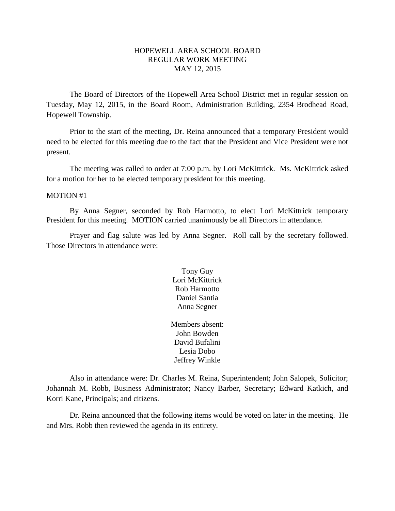## HOPEWELL AREA SCHOOL BOARD REGULAR WORK MEETING MAY 12, 2015

The Board of Directors of the Hopewell Area School District met in regular session on Tuesday, May 12, 2015, in the Board Room, Administration Building, 2354 Brodhead Road, Hopewell Township.

Prior to the start of the meeting, Dr. Reina announced that a temporary President would need to be elected for this meeting due to the fact that the President and Vice President were not present.

The meeting was called to order at 7:00 p.m. by Lori McKittrick. Ms. McKittrick asked for a motion for her to be elected temporary president for this meeting.

#### MOTION #1

By Anna Segner, seconded by Rob Harmotto, to elect Lori McKittrick temporary President for this meeting. MOTION carried unanimously be all Directors in attendance.

Prayer and flag salute was led by Anna Segner. Roll call by the secretary followed. Those Directors in attendance were:

> Tony Guy Lori McKittrick Rob Harmotto Daniel Santia Anna Segner

Members absent: John Bowden David Bufalini Lesia Dobo Jeffrey Winkle

Also in attendance were: Dr. Charles M. Reina, Superintendent; John Salopek, Solicitor; Johannah M. Robb, Business Administrator; Nancy Barber, Secretary; Edward Katkich, and Korri Kane, Principals; and citizens.

Dr. Reina announced that the following items would be voted on later in the meeting. He and Mrs. Robb then reviewed the agenda in its entirety.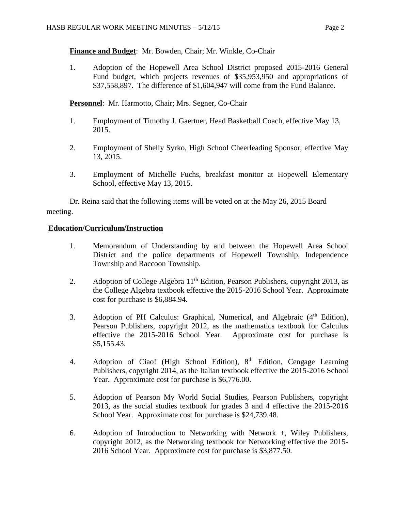## **Finance and Budget**: Mr. Bowden, Chair; Mr. Winkle, Co-Chair

1. Adoption of the Hopewell Area School District proposed 2015-2016 General Fund budget, which projects revenues of \$35,953,950 and appropriations of \$37,558,897. The difference of \$1,604,947 will come from the Fund Balance.

**Personnel**: Mr. Harmotto, Chair; Mrs. Segner, Co-Chair

- 1. Employment of Timothy J. Gaertner, Head Basketball Coach, effective May 13, 2015.
- 2. Employment of Shelly Syrko, High School Cheerleading Sponsor, effective May 13, 2015.
- 3. Employment of Michelle Fuchs, breakfast monitor at Hopewell Elementary School, effective May 13, 2015.

Dr. Reina said that the following items will be voted on at the May 26, 2015 Board meeting.

### **Education/Curriculum/Instruction**

- 1. Memorandum of Understanding by and between the Hopewell Area School District and the police departments of Hopewell Township, Independence Township and Raccoon Township.
- 2. Adoption of College Algebra  $11<sup>th</sup>$  Edition, Pearson Publishers, copyright 2013, as the College Algebra textbook effective the 2015-2016 School Year. Approximate cost for purchase is \$6,884.94.
- 3. Adoption of PH Calculus: Graphical, Numerical, and Algebraic (4<sup>th</sup> Edition), Pearson Publishers, copyright 2012, as the mathematics textbook for Calculus effective the 2015-2016 School Year. Approximate cost for purchase is \$5,155.43.
- 4. Adoption of Ciao! (High School Edition), 8<sup>th</sup> Edition, Cengage Learning Publishers, copyright 2014, as the Italian textbook effective the 2015-2016 School Year. Approximate cost for purchase is \$6,776.00.
- 5. Adoption of Pearson My World Social Studies, Pearson Publishers, copyright 2013, as the social studies textbook for grades 3 and 4 effective the 2015-2016 School Year. Approximate cost for purchase is \$24,739.48.
- 6. Adoption of Introduction to Networking with Network +, Wiley Publishers, copyright 2012, as the Networking textbook for Networking effective the 2015- 2016 School Year. Approximate cost for purchase is \$3,877.50.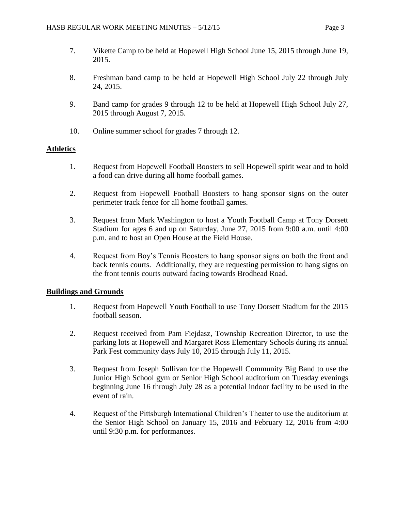- 7. Vikette Camp to be held at Hopewell High School June 15, 2015 through June 19, 2015.
- 8. Freshman band camp to be held at Hopewell High School July 22 through July 24, 2015.
- 9. Band camp for grades 9 through 12 to be held at Hopewell High School July 27, 2015 through August 7, 2015.
- 10. Online summer school for grades 7 through 12.

### **Athletics**

- 1. Request from Hopewell Football Boosters to sell Hopewell spirit wear and to hold a food can drive during all home football games.
- 2. Request from Hopewell Football Boosters to hang sponsor signs on the outer perimeter track fence for all home football games.
- 3. Request from Mark Washington to host a Youth Football Camp at Tony Dorsett Stadium for ages 6 and up on Saturday, June 27, 2015 from 9:00 a.m. until 4:00 p.m. and to host an Open House at the Field House.
- 4. Request from Boy's Tennis Boosters to hang sponsor signs on both the front and back tennis courts. Additionally, they are requesting permission to hang signs on the front tennis courts outward facing towards Brodhead Road.

### **Buildings and Grounds**

- 1. Request from Hopewell Youth Football to use Tony Dorsett Stadium for the 2015 football season.
- 2. Request received from Pam Fiejdasz, Township Recreation Director, to use the parking lots at Hopewell and Margaret Ross Elementary Schools during its annual Park Fest community days July 10, 2015 through July 11, 2015.
- 3. Request from Joseph Sullivan for the Hopewell Community Big Band to use the Junior High School gym or Senior High School auditorium on Tuesday evenings beginning June 16 through July 28 as a potential indoor facility to be used in the event of rain.
- 4. Request of the Pittsburgh International Children's Theater to use the auditorium at the Senior High School on January 15, 2016 and February 12, 2016 from 4:00 until 9:30 p.m. for performances.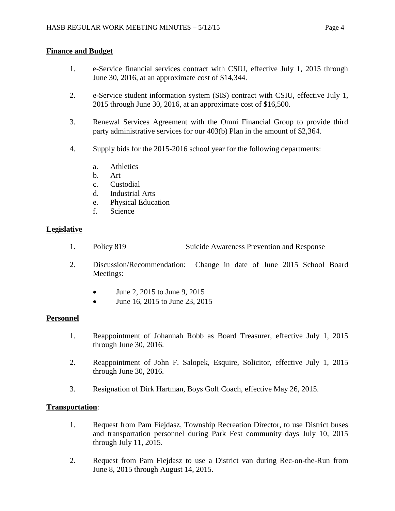## **Finance and Budget**

- 1. e-Service financial services contract with CSIU, effective July 1, 2015 through June 30, 2016, at an approximate cost of \$14,344.
- 2. e-Service student information system (SIS) contract with CSIU, effective July 1, 2015 through June 30, 2016, at an approximate cost of \$16,500.
- 3. Renewal Services Agreement with the Omni Financial Group to provide third party administrative services for our 403(b) Plan in the amount of \$2,364.
- 4. Supply bids for the 2015-2016 school year for the following departments:
	- a. Athletics
	- b. Art
	- c. Custodial
	- d. Industrial Arts
	- e. Physical Education
	- f. Science

### **Legislative**

- 1. Policy 819 Suicide Awareness Prevention and Response
- 2. Discussion/Recommendation: Change in date of June 2015 School Board Meetings:
	- $\bullet$  June 2, 2015 to June 9, 2015
	- June 16, 2015 to June 23, 2015

### **Personnel**

- 1. Reappointment of Johannah Robb as Board Treasurer, effective July 1, 2015 through June 30, 2016.
- 2. Reappointment of John F. Salopek, Esquire, Solicitor, effective July 1, 2015 through June 30, 2016.
- 3. Resignation of Dirk Hartman, Boys Golf Coach, effective May 26, 2015.

### **Transportation**:

- 1. Request from Pam Fiejdasz, Township Recreation Director, to use District buses and transportation personnel during Park Fest community days July 10, 2015 through July 11, 2015.
- 2. Request from Pam Fiejdasz to use a District van during Rec-on-the-Run from June 8, 2015 through August 14, 2015.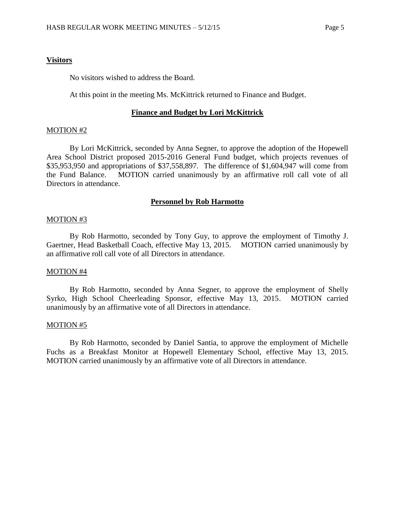#### **Visitors**

No visitors wished to address the Board.

At this point in the meeting Ms. McKittrick returned to Finance and Budget.

#### **Finance and Budget by Lori McKittrick**

#### MOTION #2

By Lori McKittrick, seconded by Anna Segner, to approve the adoption of the Hopewell Area School District proposed 2015-2016 General Fund budget, which projects revenues of \$35,953,950 and appropriations of \$37,558,897. The difference of \$1,604,947 will come from the Fund Balance. MOTION carried unanimously by an affirmative roll call vote of all Directors in attendance.

#### **Personnel by Rob Harmotto**

#### MOTION #3

By Rob Harmotto, seconded by Tony Guy, to approve the employment of Timothy J. Gaertner, Head Basketball Coach, effective May 13, 2015. MOTION carried unanimously by an affirmative roll call vote of all Directors in attendance.

#### MOTION #4

By Rob Harmotto, seconded by Anna Segner, to approve the employment of Shelly Syrko, High School Cheerleading Sponsor, effective May 13, 2015. MOTION carried unanimously by an affirmative vote of all Directors in attendance.

### MOTION #5

By Rob Harmotto, seconded by Daniel Santia, to approve the employment of Michelle Fuchs as a Breakfast Monitor at Hopewell Elementary School, effective May 13, 2015. MOTION carried unanimously by an affirmative vote of all Directors in attendance.